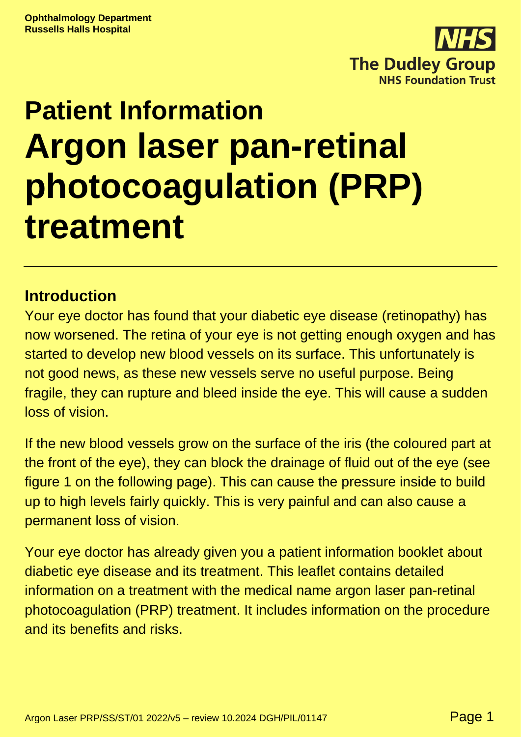

# **Patient Information Argon laser pan-retinal photocoagulation (PRP) treatment**

#### **Introduction**

Your eye doctor has found that your diabetic eye disease (retinopathy) has now worsened. The retina of your eye is not getting enough oxygen and has started to develop new blood vessels on its surface. This unfortunately is not good news, as these new vessels serve no useful purpose. Being fragile, they can rupture and bleed inside the eye. This will cause a sudden loss of vision.

If the new blood vessels grow on the surface of the iris (the coloured part at the front of the eye), they can block the drainage of fluid out of the eye (see figure 1 on the following page). This can cause the pressure inside to build up to high levels fairly quickly. This is very painful and can also cause a permanent loss of vision.

Your eye doctor has already given you a patient information booklet about diabetic eye disease and its treatment. This leaflet contains detailed information on a treatment with the medical name argon laser pan-retinal photocoagulation (PRP) treatment. It includes information on the procedure and its benefits and risks.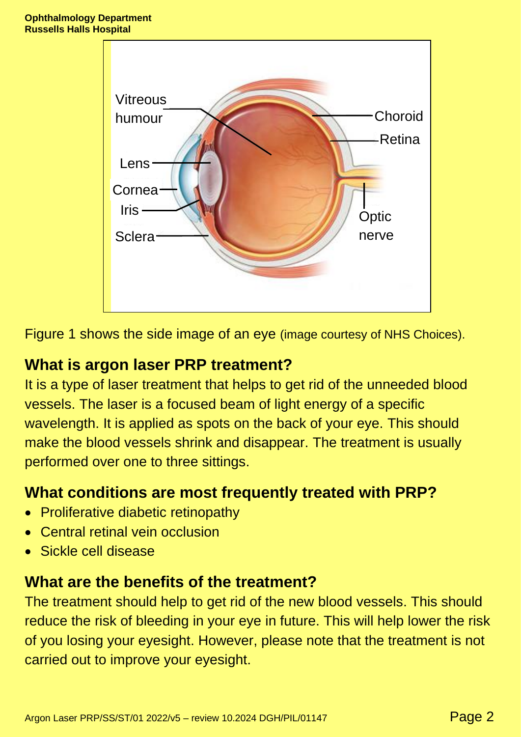

Figure 1 shows the side image of an eye (image courtesy of NHS Choices).

## **What is argon laser PRP treatment?**

It is a type of laser treatment that helps to get rid of the unneeded blood vessels. The laser is a focused beam of light energy of a specific wavelength. It is applied as spots on the back of your eye. This should make the blood vessels shrink and disappear. The treatment is usually performed over one to three sittings.

### **What conditions are most frequently treated with PRP?**

- Proliferative diabetic retinopathy
- Central retinal vein occlusion
- Sickle cell disease

#### **What are the benefits of the treatment?**

The treatment should help to get rid of the new blood vessels. This should reduce the risk of bleeding in your eye in future. This will help lower the risk of you losing your eyesight. However, please note that the treatment is not carried out to improve your eyesight.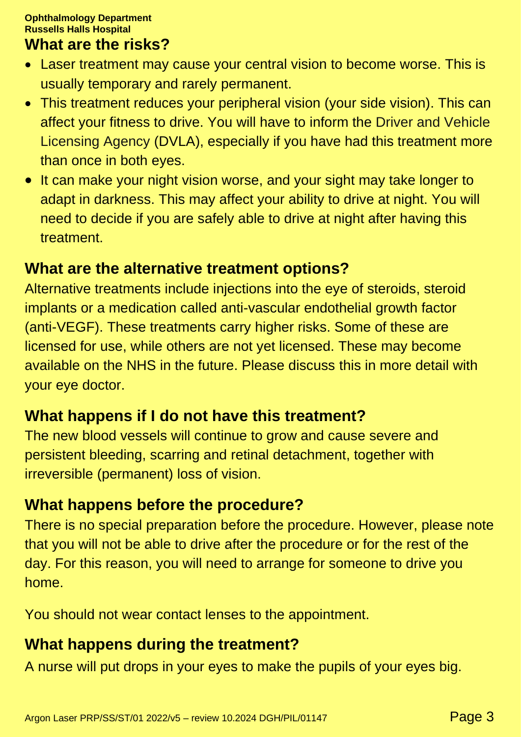#### **What are the risks?**

- Laser treatment may cause your central vision to become worse. This is usually temporary and rarely permanent.
- This treatment reduces your peripheral vision (your side vision). This can affect your fitness to drive. You will have to inform the Driver and Vehicle Licensing Agency (DVLA), especially if you have had this treatment more than once in both eyes.
- It can make your night vision worse, and your sight may take longer to adapt in darkness. This may affect your ability to drive at night. You will need to decide if you are safely able to drive at night after having this treatment.

#### **What are the alternative treatment options?**

Alternative treatments include injections into the eye of steroids, steroid implants or a medication called anti-vascular endothelial growth factor (anti-VEGF). These treatments carry higher risks. Some of these are licensed for use, while others are not yet licensed. These may become available on the NHS in the future. Please discuss this in more detail with your eye doctor.

#### **What happens if I do not have this treatment?**

The new blood vessels will continue to grow and cause severe and persistent bleeding, scarring and retinal detachment, together with irreversible (permanent) loss of vision.

### **What happens before the procedure?**

There is no special preparation before the procedure. However, please note that you will not be able to drive after the procedure or for the rest of the day. For this reason, you will need to arrange for someone to drive you home.

You should not wear contact lenses to the appointment.

# **What happens during the treatment?**

A nurse will put drops in your eyes to make the pupils of your eyes big.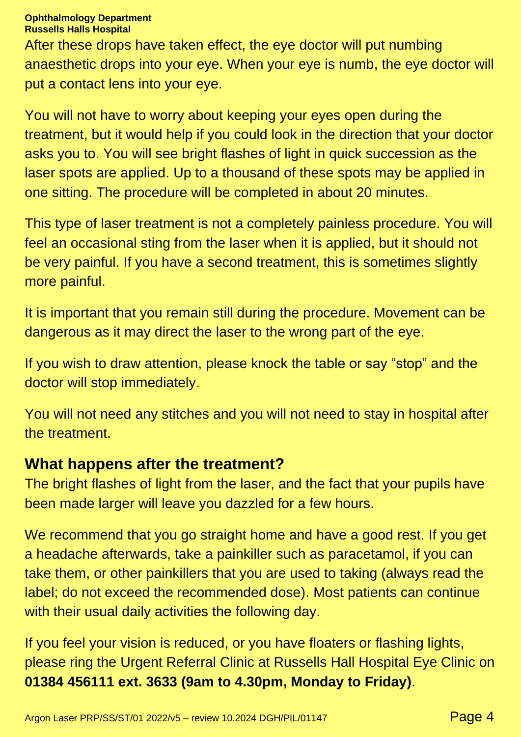#### **Ophthalmology Department Russells Halls Hospital**

After these drops have taken effect, the eye doctor will put numbing anaesthetic drops into your eye. When your eye is numb, the eye doctor will put a contact lens into your eye.

You will not have to worry about keeping your eyes open during the treatment, but it would help if you could look in the direction that your doctor asks you to. You will see bright flashes of light in quick succession as the laser spots are applied. Up to a thousand of these spots may be applied in one sitting. The procedure will be completed in about 20 minutes.

This type of laser treatment is not a completely painless procedure. You will feel an occasional sting from the laser when it is applied, but it should not be very painful. If you have a second treatment, this is sometimes slightly more painful.

It is important that you remain still during the procedure. Movement can be dangerous as it may direct the laser to the wrong part of the eye.

If you wish to draw attention, please knock the table or say "stop" and the doctor will stop immediately.

You will not need any stitches and you will not need to stay in hospital after the treatment.

#### **What happens after the treatment?**

The bright flashes of light from the laser, and the fact that your pupils have been made larger will leave you dazzled for a few hours.

We recommend that you go straight home and have a good rest. If you get a headache afterwards, take a painkiller such as paracetamol, if you can take them, or other painkillers that you are used to taking (always read the label; do not exceed the recommended dose). Most patients can continue with their usual daily activities the following day.

If you feel your vision is reduced, or you have floaters or flashing lights, please ring the Urgent Referral Clinic at Russells Hall Hospital Eye Clinic on **01384 456111 ext. 3633 (9am to 4.30pm, Monday to Friday)**.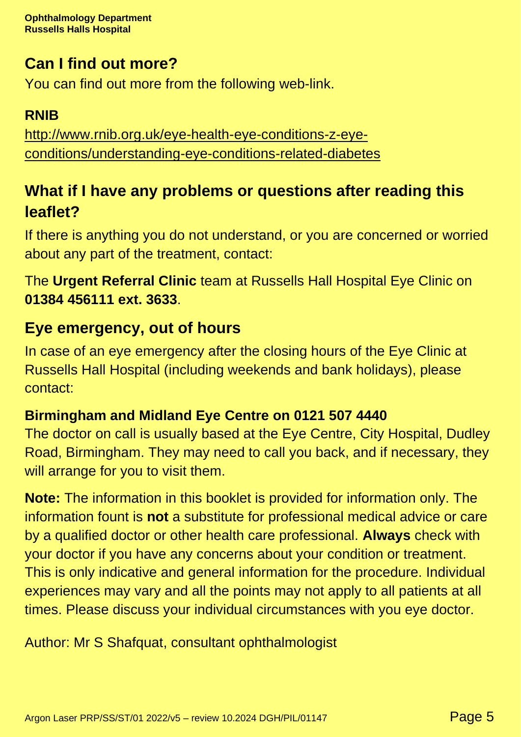# **Can I find out more?**

You can find out more from the following web-link.

## **RNIB**

[http://www.rnib.org.uk/eye-health-eye-conditions-z-eye](http://www.rnib.org.uk/eye-health-eye-conditions-z-eye-conditions/understanding-eye-conditions-related-diabetes)[conditions/understanding-eye-conditions-related-diabetes](http://www.rnib.org.uk/eye-health-eye-conditions-z-eye-conditions/understanding-eye-conditions-related-diabetes)

# **What if I have any problems or questions after reading this leaflet?**

If there is anything you do not understand, or you are concerned or worried about any part of the treatment, contact:

The **Urgent Referral Clinic** team at Russells Hall Hospital Eye Clinic on **01384 456111 ext. 3633**.

# **Eye emergency, out of hours**

In case of an eye emergency after the closing hours of the Eye Clinic at Russells Hall Hospital (including weekends and bank holidays), please contact:

# **Birmingham and Midland Eye Centre on 0121 507 4440**

The doctor on call is usually based at the Eye Centre, City Hospital, Dudley Road, Birmingham. They may need to call you back, and if necessary, they will arrange for you to visit them.

**Note:** The information in this booklet is provided for information only. The information fount is **not** a substitute for professional medical advice or care by a qualified doctor or other health care professional. **Always** check with your doctor if you have any concerns about your condition or treatment. This is only indicative and general information for the procedure. Individual experiences may vary and all the points may not apply to all patients at all times. Please discuss your individual circumstances with you eye doctor.

Author: Mr S Shafquat, consultant ophthalmologist